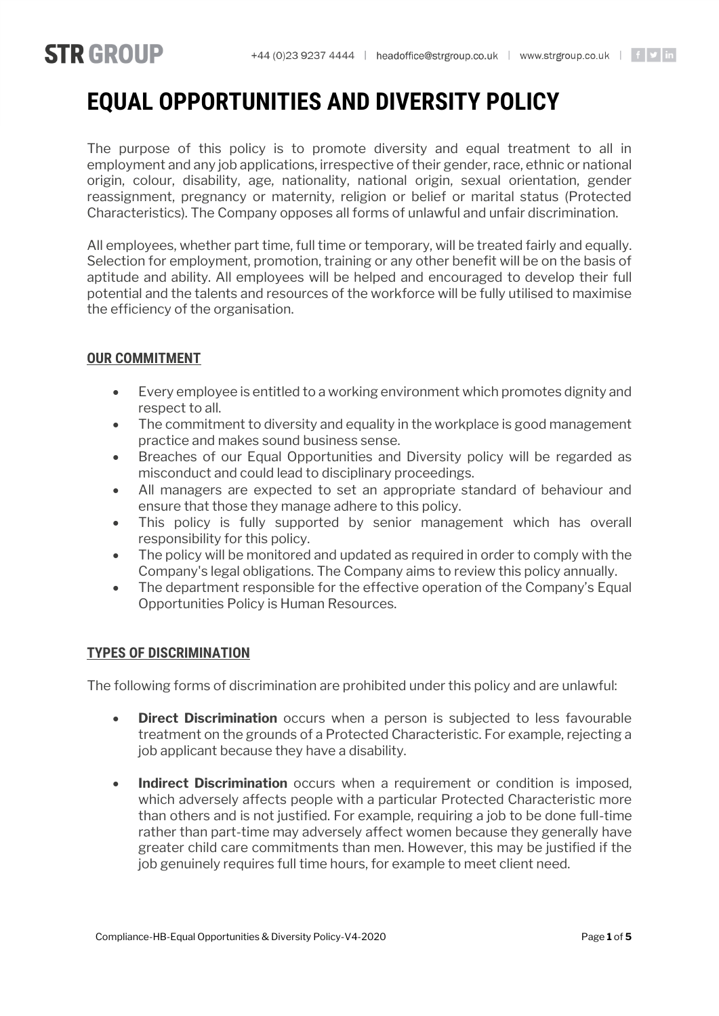# **STR GROUP**

# **EQUAL OPPORTUNITIES AND DIVERSITY POLICY**

The purpose of this policy is to promote diversity and equal treatment to all in employment and any job applications, irrespective of their gender, race, ethnic or national origin, colour, disability, age, nationality, national origin, sexual orientation, gender reassignment, pregnancy or maternity, religion or belief or marital status (Protected Characteristics). The Company opposes all forms of unlawful and unfair discrimination.

All employees, whether part time, full time or temporary, will be treated fairly and equally. Selection for employment, promotion, training or any other benefit will be on the basis of aptitude and ability. All employees will be helped and encouraged to develop their full potential and the talents and resources of the workforce will be fully utilised to maximise the efficiency of the organisation.

# **OUR COMMITMENT**

- Every employee is entitled to a working environment which promotes dignity and respect to all.
- The commitment to diversity and equality in the workplace is good management practice and makes sound business sense.
- Breaches of our Equal Opportunities and Diversity policy will be regarded as misconduct and could lead to disciplinary proceedings.
- All managers are expected to set an appropriate standard of behaviour and ensure that those they manage adhere to this policy.
- This policy is fully supported by senior management which has overall responsibility for this policy.
- The policy will be monitored and updated as required in order to comply with the Company's legal obligations. The Company aims to review this policy annually.
- The department responsible for the effective operation of the Company's Equal Opportunities Policy is Human Resources.

### **TYPES OF DISCRIMINATION**

The following forms of discrimination are prohibited under this policy and are unlawful:

- **Direct Discrimination** occurs when a person is subjected to less favourable treatment on the grounds of a Protected Characteristic. For example, rejecting a job applicant because they have a disability.
- **Indirect Discrimination** occurs when a requirement or condition is imposed, which adversely affects people with a particular Protected Characteristic more than others and is not justified. For example, requiring a job to be done full-time rather than part-time may adversely affect women because they generally have greater child care commitments than men. However, this may be justified if the job genuinely requires full time hours, for example to meet client need.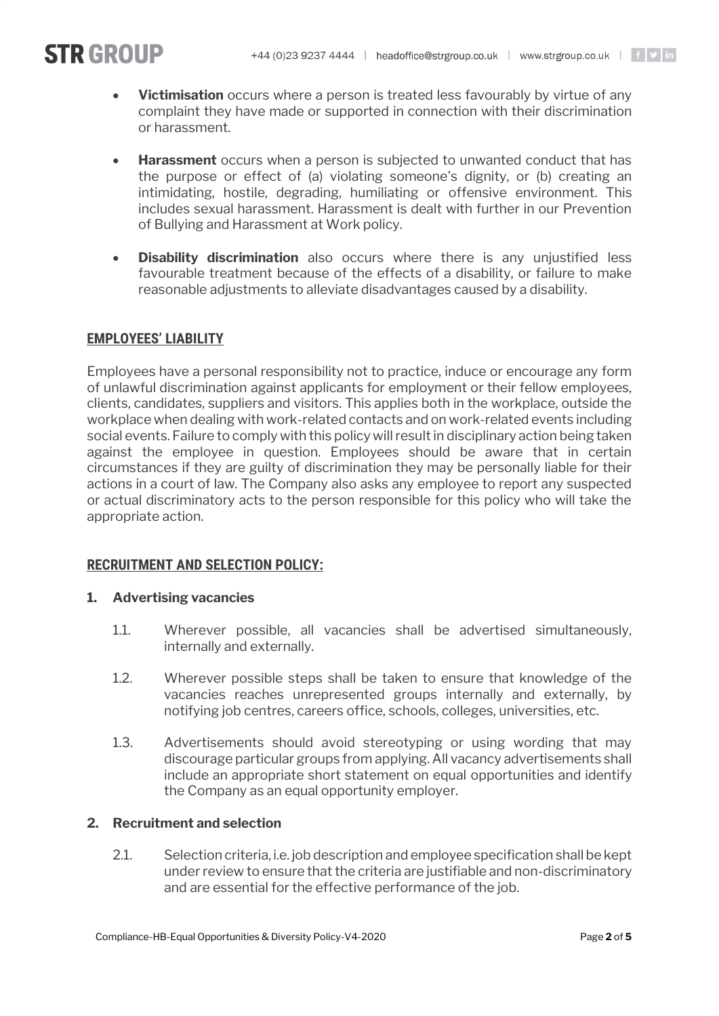# **STR GROUP**

- **Victimisation** occurs where a person is treated less favourably by virtue of any complaint they have made or supported in connection with their discrimination or harassment.
- **Harassment** occurs when a person is subjected to unwanted conduct that has the purpose or effect of (a) violating someone's dignity, or (b) creating an intimidating, hostile, degrading, humiliating or offensive environment. This includes sexual harassment. Harassment is dealt with further in our Prevention of Bullying and Harassment at Work policy.
- **Disability discrimination** also occurs where there is any unjustified less favourable treatment because of the effects of a disability, or failure to make reasonable adjustments to alleviate disadvantages caused by a disability.

# **EMPLOYEES' LIABILITY**

Employees have a personal responsibility not to practice, induce or encourage any form of unlawful discrimination against applicants for employment or their fellow employees, clients, candidates, suppliers and visitors. This applies both in the workplace, outside the workplace when dealing with work-related contacts and on work-related events including social events. Failure to comply with this policy will result in disciplinary action being taken against the employee in question. Employees should be aware that in certain circumstances if they are guilty of discrimination they may be personally liable for their actions in a court of law. The Company also asks any employee to report any suspected or actual discriminatory acts to the person responsible for this policy who will take the appropriate action.

### **RECRUITMENT AND SELECTION POLICY:**

### **1. Advertising vacancies**

- 1.1. Wherever possible, all vacancies shall be advertised simultaneously, internally and externally.
- 1.2. Wherever possible steps shall be taken to ensure that knowledge of the vacancies reaches unrepresented groups internally and externally, by notifying job centres, careers office, schools, colleges, universities, etc.
- 1.3. Advertisements should avoid stereotyping or using wording that may discourage particular groups from applying. All vacancy advertisements shall include an appropriate short statement on equal opportunities and identify the Company as an equal opportunity employer.

### **2. Recruitment and selection**

2.1. Selection criteria, i.e. job description and employee specification shall be kept under review to ensure that the criteria are justifiable and non-discriminatory and are essential for the effective performance of the job.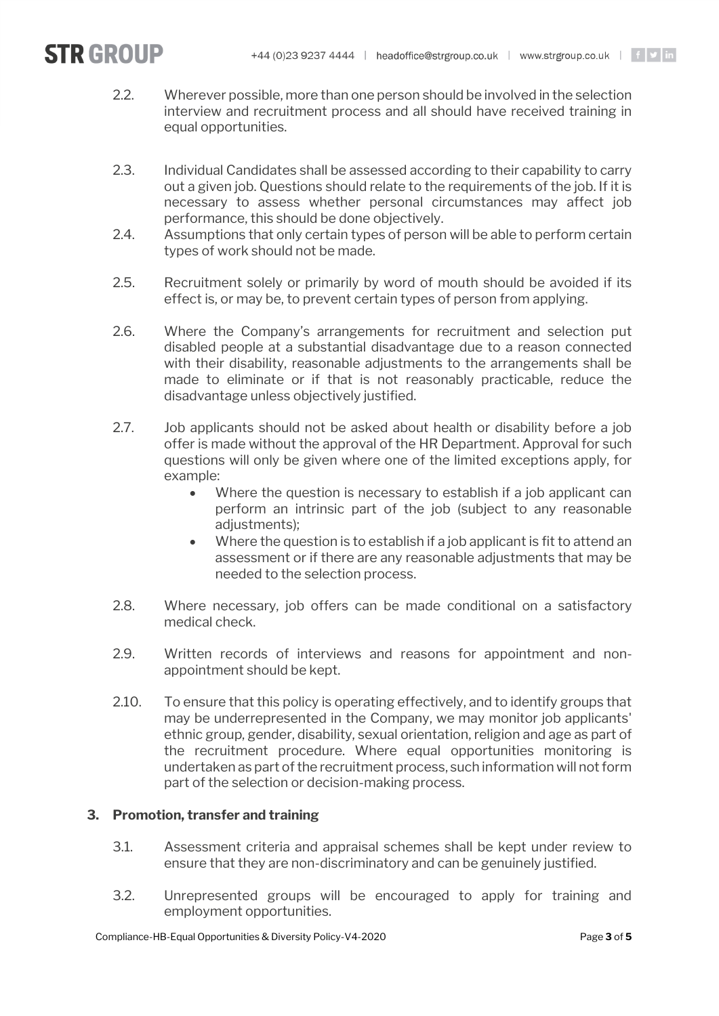

- 2.2. Wherever possible, more than one person should be involved in the selection interview and recruitment process and all should have received training in equal opportunities.
- 2.3. Individual Candidates shall be assessed according to their capability to carry out a given job. Questions should relate to the requirements of the job. If it is necessary to assess whether personal circumstances may affect job performance, this should be done objectively.
- 2.4. Assumptions that only certain types of person will be able to perform certain types of work should not be made.
- 2.5. Recruitment solely or primarily by word of mouth should be avoided if its effect is, or may be, to prevent certain types of person from applying.
- 2.6. Where the Company's arrangements for recruitment and selection put disabled people at a substantial disadvantage due to a reason connected with their disability, reasonable adjustments to the arrangements shall be made to eliminate or if that is not reasonably practicable, reduce the disadvantage unless objectively justified.
- 2.7. Job applicants should not be asked about health or disability before a job offer is made without the approval of the HR Department. Approval for such questions will only be given where one of the limited exceptions apply, for example:
	- Where the question is necessary to establish if a job applicant can perform an intrinsic part of the job (subject to any reasonable adjustments):
	- Where the question is to establish if a job applicant is fit to attend an assessment or if there are any reasonable adjustments that may be needed to the selection process.
- 2.8. Where necessary, job offers can be made conditional on a satisfactory medical check.
- 2.9. Written records of interviews and reasons for appointment and nonappointment should be kept.
- 2.10. To ensure that this policy is operating effectively, and to identify groups that may be underrepresented in the Company, we may monitor job applicants' ethnic group, gender, disability, sexual orientation, religion and age as part of the recruitment procedure. Where equal opportunities monitoring is undertaken as part of the recruitment process, such information will not form part of the selection or decision-making process.

### **3. Promotion, transfer and training**

- 3.1. Assessment criteria and appraisal schemes shall be kept under review to ensure that they are non-discriminatory and can be genuinely justified.
- 3.2. Unrepresented groups will be encouraged to apply for training and employment opportunities.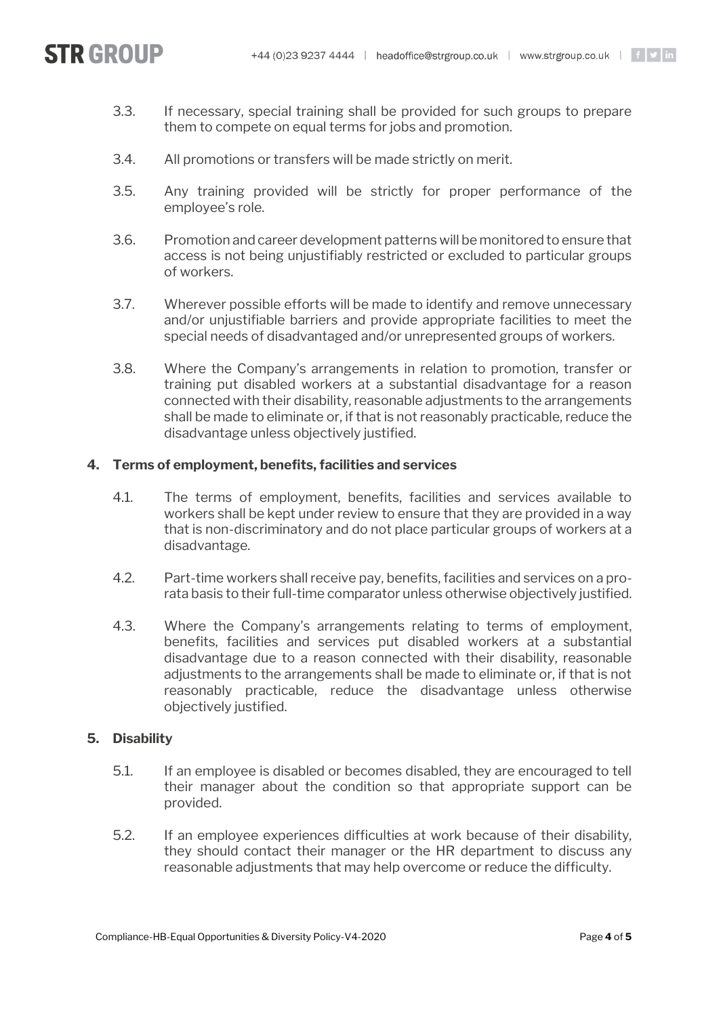

- 3.3. If necessary, special training shall be provided for such groups to prepare them to compete on equal terms for jobs and promotion.
- 3.4. All promotions or transfers will be made strictly on merit.
- 3.5. Any training provided will be strictly for proper performance of the employee's role.
- 3.6. Promotion and career development patterns will be monitored to ensure that access is not being unjustifiably restricted or excluded to particular groups of workers.
- 3.7. Wherever possible efforts will be made to identify and remove unnecessary and/or unjustifiable barriers and provide appropriate facilities to meet the special needs of disadvantaged and/or unrepresented groups of workers.
- 3.8. Where the Company's arrangements in relation to promotion, transfer or training put disabled workers at a substantial disadvantage for a reason connected with their disability, reasonable adjustments to the arrangements shall be made to eliminate or, if that is not reasonably practicable, reduce the disadvantage unless objectively justified.

#### **4. Terms of employment, benefits, facilities and services**

- 4.1. The terms of employment, benefits, facilities and services available to workers shall be kept under review to ensure that they are provided in a way that is non-discriminatory and do not place particular groups of workers at a disadvantage.
- 4.2. Part-time workers shall receive pay, benefits, facilities and services on a prorata basis to their full-time comparator unless otherwise objectively justified.
- 4.3. Where the Company's arrangements relating to terms of employment, benefits, facilities and services put disabled workers at a substantial disadvantage due to a reason connected with their disability, reasonable adjustments to the arrangements shall be made to eliminate or, if that is not reasonably practicable, reduce the disadvantage unless otherwise objectively justified.

#### **5. Disability**

- 5.1. If an employee is disabled or becomes disabled, they are encouraged to tell their manager about the condition so that appropriate support can be provided.
- 5.2. If an employee experiences difficulties at work because of their disability, they should contact their manager or the HR department to discuss any reasonable adjustments that may help overcome or reduce the difficulty.